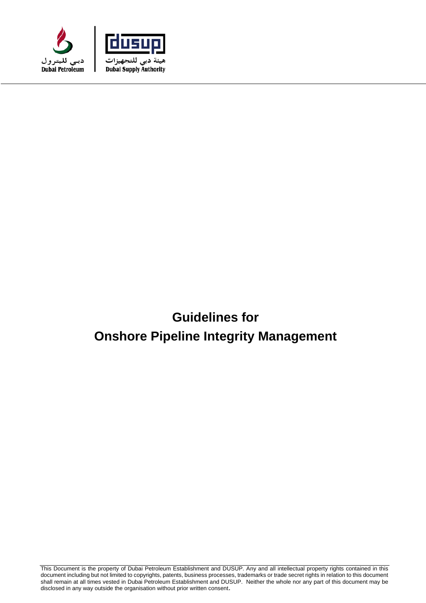



# **Guidelines for Onshore Pipeline Integrity Management**

This Document is the property of Dubai Petroleum Establishment and DUSUP. Any and all intellectual property rights contained in this document including but not limited to copyrights, patents, business processes, trademarks or trade secret rights in relation to this document shall remain at all times vested in Dubai Petroleum Establishment and DUSUP. Neither the whole nor any part of this document may be disclosed in any way outside the organisation without prior written consent.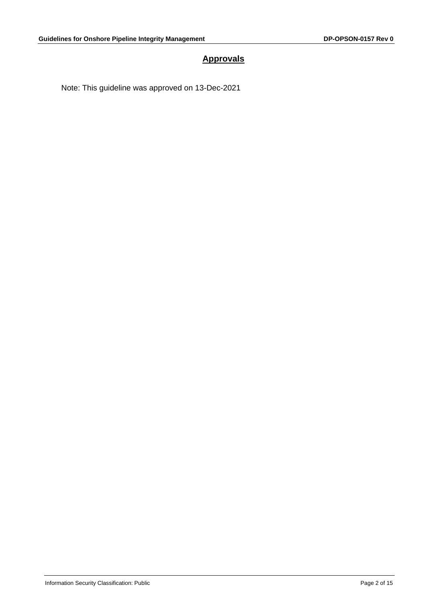# **Approvals**

Note: This guideline was approved on 13-Dec-2021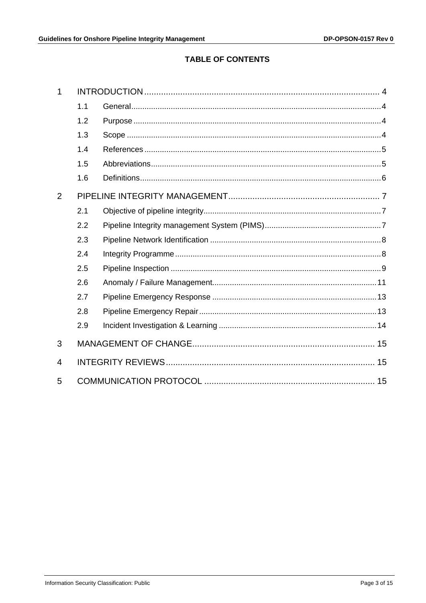# **TABLE OF CONTENTS**

| 1 |     |  |  |
|---|-----|--|--|
|   | 1.1 |  |  |
|   | 1.2 |  |  |
|   | 1.3 |  |  |
|   | 1.4 |  |  |
|   | 1.5 |  |  |
|   | 1.6 |  |  |
| 2 |     |  |  |
|   | 2.1 |  |  |
|   | 2.2 |  |  |
|   | 2.3 |  |  |
|   | 2.4 |  |  |
|   | 2.5 |  |  |
|   | 2.6 |  |  |
|   | 2.7 |  |  |
|   | 2.8 |  |  |
|   | 2.9 |  |  |
| 3 |     |  |  |
| 4 |     |  |  |
| 5 |     |  |  |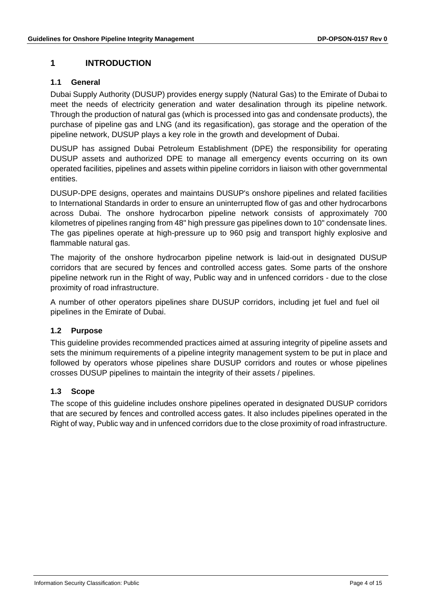# <span id="page-3-0"></span>**1 INTRODUCTION**

#### <span id="page-3-1"></span>**1.1 General**

Dubai Supply Authority (DUSUP) provides energy supply (Natural Gas) to the Emirate of Dubai to meet the needs of electricity generation and water desalination through its pipeline network. Through the production of natural gas (which is processed into gas and condensate products), the purchase of pipeline gas and LNG (and its regasification), gas storage and the operation of the pipeline network, DUSUP plays a key role in the growth and development of Dubai.

DUSUP has assigned Dubai Petroleum Establishment (DPE) the responsibility for operating DUSUP assets and authorized DPE to manage all emergency events occurring on its own operated facilities, pipelines and assets within pipeline corridors in liaison with other governmental entities.

DUSUP-DPE designs, operates and maintains DUSUP's onshore pipelines and related facilities to International Standards in order to ensure an uninterrupted flow of gas and other hydrocarbons across Dubai. The onshore hydrocarbon pipeline network consists of approximately 700 kilometres of pipelines ranging from 48" high pressure gas pipelines down to 10" condensate lines. The gas pipelines operate at high-pressure up to 960 psig and transport highly explosive and flammable natural gas.

The majority of the onshore hydrocarbon pipeline network is laid-out in designated DUSUP corridors that are secured by fences and controlled access gates. Some parts of the onshore pipeline network run in the Right of way, Public way and in unfenced corridors - due to the close proximity of road infrastructure.

A number of other operators pipelines share DUSUP corridors, including jet fuel and fuel oil pipelines in the Emirate of Dubai.

#### <span id="page-3-2"></span>**1.2 Purpose**

This guideline provides recommended practices aimed at assuring integrity of pipeline assets and sets the minimum requirements of a pipeline integrity management system to be put in place and followed by operators whose pipelines share DUSUP corridors and routes or whose pipelines crosses DUSUP pipelines to maintain the integrity of their assets / pipelines.

## <span id="page-3-3"></span>**1.3 Scope**

The scope of this guideline includes onshore pipelines operated in designated DUSUP corridors that are secured by fences and controlled access gates. It also includes pipelines operated in the Right of way, Public way and in unfenced corridors due to the close proximity of road infrastructure.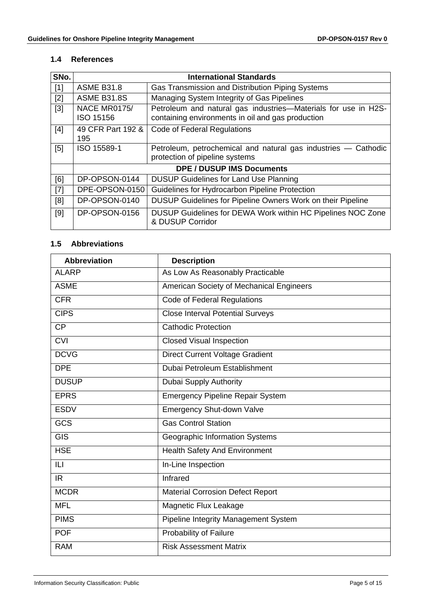#### <span id="page-4-0"></span>**1.4 References**

| SNo.  | <b>International Standards</b>   |                                                                                                                     |  |
|-------|----------------------------------|---------------------------------------------------------------------------------------------------------------------|--|
| $[1]$ | <b>ASME B31.8</b>                | Gas Transmission and Distribution Piping Systems                                                                    |  |
| $[2]$ | <b>ASME B31.8S</b>               | Managing System Integrity of Gas Pipelines                                                                          |  |
| $[3]$ | NACE MR0175/<br>ISO 15156        | Petroleum and natural gas industries-Materials for use in H2S-<br>containing environments in oil and gas production |  |
| $[4]$ | 49 CFR Part 192 &<br>195         | Code of Federal Regulations                                                                                         |  |
| [5]   | ISO 15589-1                      | Petroleum, petrochemical and natural gas industries - Cathodic<br>protection of pipeline systems                    |  |
|       | <b>DPE / DUSUP IMS Documents</b> |                                                                                                                     |  |
| [6]   | DP-OPSON-0144                    | <b>DUSUP Guidelines for Land Use Planning</b>                                                                       |  |
| $[7]$ | DPE-OPSON-0150                   | Guidelines for Hydrocarbon Pipeline Protection                                                                      |  |
| [8]   | DP-OPSON-0140                    | DUSUP Guidelines for Pipeline Owners Work on their Pipeline                                                         |  |
| [9]   | DP-OPSON-0156                    | DUSUP Guidelines for DEWA Work within HC Pipelines NOC Zone<br>& DUSUP Corridor                                     |  |

### <span id="page-4-1"></span>**1.5 Abbreviations**

| <b>Abbreviation</b> | <b>Description</b>                       |
|---------------------|------------------------------------------|
| <b>ALARP</b>        | As Low As Reasonably Practicable         |
| <b>ASME</b>         | American Society of Mechanical Engineers |
| <b>CFR</b>          | Code of Federal Regulations              |
| <b>CIPS</b>         | <b>Close Interval Potential Surveys</b>  |
| <b>CP</b>           | <b>Cathodic Protection</b>               |
| <b>CVI</b>          | <b>Closed Visual Inspection</b>          |
| <b>DCVG</b>         | <b>Direct Current Voltage Gradient</b>   |
| <b>DPE</b>          | Dubai Petroleum Establishment            |
| <b>DUSUP</b>        | Dubai Supply Authority                   |
| <b>EPRS</b>         | <b>Emergency Pipeline Repair System</b>  |
| <b>ESDV</b>         | <b>Emergency Shut-down Valve</b>         |
| <b>GCS</b>          | <b>Gas Control Station</b>               |
| <b>GIS</b>          | Geographic Information Systems           |
| <b>HSE</b>          | <b>Health Safety And Environment</b>     |
| ILI                 | In-Line Inspection                       |
| IR.                 | Infrared                                 |
| <b>MCDR</b>         | <b>Material Corrosion Defect Report</b>  |
| <b>MFL</b>          | Magnetic Flux Leakage                    |
| <b>PIMS</b>         | Pipeline Integrity Management System     |
| <b>POF</b>          | Probability of Failure                   |
| <b>RAM</b>          | <b>Risk Assessment Matrix</b>            |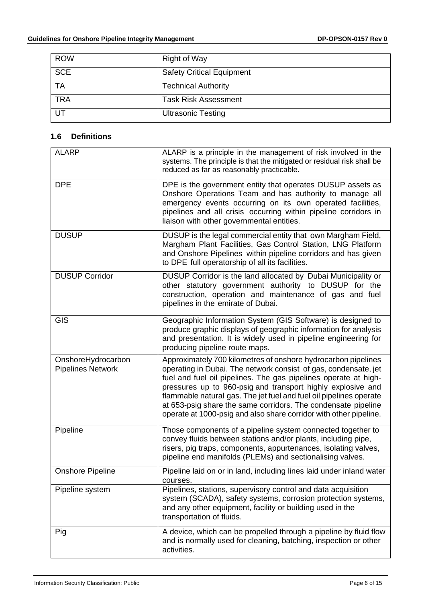| <b>ROW</b> | <b>Right of Way</b>              |
|------------|----------------------------------|
| <b>SCE</b> | <b>Safety Critical Equipment</b> |
| <b>TA</b>  | <b>Technical Authority</b>       |
| <b>TRA</b> | <b>Task Risk Assessment</b>      |
| UT         | <b>Ultrasonic Testing</b>        |

## <span id="page-5-0"></span>**1.6 Definitions**

| <b>ALARP</b>                                   | ALARP is a principle in the management of risk involved in the<br>systems. The principle is that the mitigated or residual risk shall be<br>reduced as far as reasonably practicable.                                                                                                                                                                                                                                                                                          |  |  |
|------------------------------------------------|--------------------------------------------------------------------------------------------------------------------------------------------------------------------------------------------------------------------------------------------------------------------------------------------------------------------------------------------------------------------------------------------------------------------------------------------------------------------------------|--|--|
| <b>DPE</b>                                     | DPE is the government entity that operates DUSUP assets as<br>Onshore Operations Team and has authority to manage all<br>emergency events occurring on its own operated facilities,<br>pipelines and all crisis occurring within pipeline corridors in<br>liaison with other governmental entities.                                                                                                                                                                            |  |  |
| <b>DUSUP</b>                                   | DUSUP is the legal commercial entity that own Margham Field,<br>Margham Plant Facilities, Gas Control Station, LNG Platform<br>and Onshore Pipelines within pipeline corridors and has given<br>to DPE full operatorship of all its facilities.                                                                                                                                                                                                                                |  |  |
| <b>DUSUP Corridor</b>                          | DUSUP Corridor is the land allocated by Dubai Municipality or<br>other statutory government authority to DUSUP for the<br>construction, operation and maintenance of gas and fuel<br>pipelines in the emirate of Dubai.                                                                                                                                                                                                                                                        |  |  |
| GIS                                            | Geographic Information System (GIS Software) is designed to<br>produce graphic displays of geographic information for analysis<br>and presentation. It is widely used in pipeline engineering for<br>producing pipeline route maps.                                                                                                                                                                                                                                            |  |  |
| OnshoreHydrocarbon<br><b>Pipelines Network</b> | Approximately 700 kilometres of onshore hydrocarbon pipelines<br>operating in Dubai. The network consist of gas, condensate, jet<br>fuel and fuel oil pipelines. The gas pipelines operate at high-<br>pressures up to 960-psig and transport highly explosive and<br>flammable natural gas. The jet fuel and fuel oil pipelines operate<br>at 653-psig share the same corridors. The condensate pipeline<br>operate at 1000-psig and also share corridor with other pipeline. |  |  |
| Pipeline                                       | Those components of a pipeline system connected together to<br>convey fluids between stations and/or plants, including pipe,<br>risers, pig traps, components, appurtenances, isolating valves,<br>pipeline end manifolds (PLEMs) and sectionalising valves.                                                                                                                                                                                                                   |  |  |
| Onshore Pipeline                               | Pipeline laid on or in land, including lines laid under inland water<br>courses.                                                                                                                                                                                                                                                                                                                                                                                               |  |  |
| Pipeline system                                | Pipelines, stations, supervisory control and data acquisition<br>system (SCADA), safety systems, corrosion protection systems,<br>and any other equipment, facility or building used in the<br>transportation of fluids.                                                                                                                                                                                                                                                       |  |  |
| Pig                                            | A device, which can be propelled through a pipeline by fluid flow<br>and is normally used for cleaning, batching, inspection or other<br>activities.                                                                                                                                                                                                                                                                                                                           |  |  |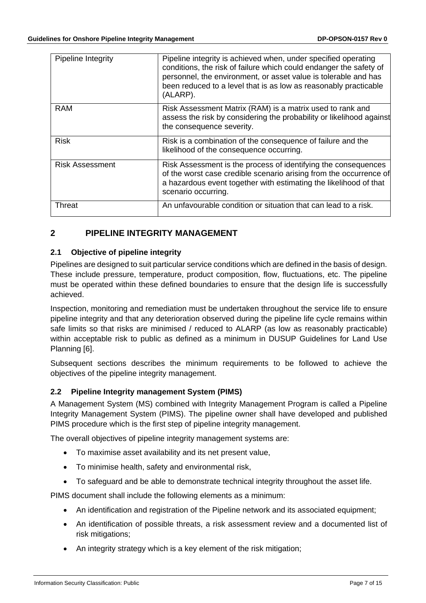| Pipeline Integrity     | Pipeline integrity is achieved when, under specified operating<br>conditions, the risk of failure which could endanger the safety of<br>personnel, the environment, or asset value is tolerable and has<br>been reduced to a level that is as low as reasonably practicable<br>(ALARP). |
|------------------------|-----------------------------------------------------------------------------------------------------------------------------------------------------------------------------------------------------------------------------------------------------------------------------------------|
| <b>RAM</b>             | Risk Assessment Matrix (RAM) is a matrix used to rank and<br>assess the risk by considering the probability or likelihood against<br>the consequence severity.                                                                                                                          |
| <b>Risk</b>            | Risk is a combination of the consequence of failure and the<br>likelihood of the consequence occurring.                                                                                                                                                                                 |
| <b>Risk Assessment</b> | Risk Assessment is the process of identifying the consequences<br>of the worst case credible scenario arising from the occurrence of<br>a hazardous event together with estimating the likelihood of that<br>scenario occurring.                                                        |
| Threat                 | An unfavourable condition or situation that can lead to a risk.                                                                                                                                                                                                                         |

# <span id="page-6-0"></span>**2 PIPELINE INTEGRITY MANAGEMENT**

#### <span id="page-6-1"></span>**2.1 Objective of pipeline integrity**

Pipelines are designed to suit particular service conditions which are defined in the basis of design. These include pressure, temperature, product composition, flow, fluctuations, etc. The pipeline must be operated within these defined boundaries to ensure that the design life is successfully achieved.

Inspection, monitoring and remediation must be undertaken throughout the service life to ensure pipeline integrity and that any deterioration observed during the pipeline life cycle remains within safe limits so that risks are minimised / reduced to ALARP (as low as reasonably practicable) within acceptable risk to public as defined as a minimum in DUSUP Guidelines for Land Use Planning [6].

Subsequent sections describes the minimum requirements to be followed to achieve the objectives of the pipeline integrity management.

## <span id="page-6-2"></span>**2.2 Pipeline Integrity management System (PIMS)**

A Management System (MS) combined with Integrity Management Program is called a Pipeline Integrity Management System (PIMS). The pipeline owner shall have developed and published PIMS procedure which is the first step of pipeline integrity management.

The overall objectives of pipeline integrity management systems are:

- To maximise asset availability and its net present value,
- To minimise health, safety and environmental risk,
- To safeguard and be able to demonstrate technical integrity throughout the asset life.

PIMS document shall include the following elements as a minimum:

- An identification and registration of the Pipeline network and its associated equipment;
- An identification of possible threats, a risk assessment review and a documented list of risk mitigations;
- An integrity strategy which is a key element of the risk mitigation;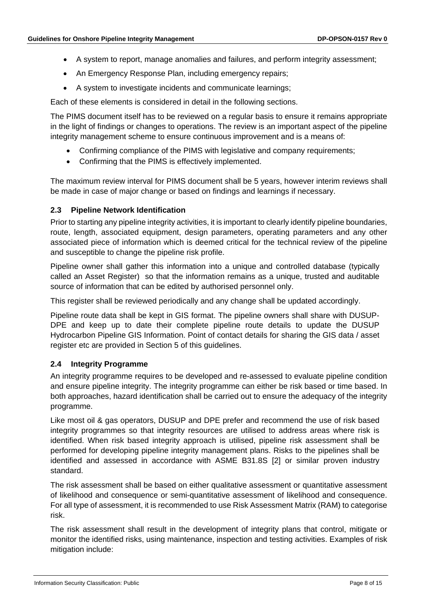- A system to report, manage anomalies and failures, and perform integrity assessment;
- An Emergency Response Plan, including emergency repairs;
- A system to investigate incidents and communicate learnings;

Each of these elements is considered in detail in the following sections.

The PIMS document itself has to be reviewed on a regular basis to ensure it remains appropriate in the light of findings or changes to operations. The review is an important aspect of the pipeline integrity management scheme to ensure continuous improvement and is a means of:

- Confirming compliance of the PIMS with legislative and company requirements;
- Confirming that the PIMS is effectively implemented.

The maximum review interval for PIMS document shall be 5 years, however interim reviews shall be made in case of major change or based on findings and learnings if necessary.

#### <span id="page-7-0"></span>**2.3 Pipeline Network Identification**

Prior to starting any pipeline integrity activities, it is important to clearly identify pipeline boundaries, route, length, associated equipment, design parameters, operating parameters and any other associated piece of information which is deemed critical for the technical review of the pipeline and susceptible to change the pipeline risk profile.

Pipeline owner shall gather this information into a unique and controlled database (typically called an Asset Register) so that the information remains as a unique, trusted and auditable source of information that can be edited by authorised personnel only.

This register shall be reviewed periodically and any change shall be updated accordingly.

Pipeline route data shall be kept in GIS format. The pipeline owners shall share with DUSUP-DPE and keep up to date their complete pipeline route details to update the DUSUP Hydrocarbon Pipeline GIS Information. Point of contact details for sharing the GIS data / asset register etc are provided in Section 5 of this guidelines.

#### <span id="page-7-1"></span>**2.4 Integrity Programme**

An integrity programme requires to be developed and re-assessed to evaluate pipeline condition and ensure pipeline integrity. The integrity programme can either be risk based or time based. In both approaches, hazard identification shall be carried out to ensure the adequacy of the integrity programme.

Like most oil & gas operators, DUSUP and DPE prefer and recommend the use of risk based integrity programmes so that integrity resources are utilised to address areas where risk is identified. When risk based integrity approach is utilised, pipeline risk assessment shall be performed for developing pipeline integrity management plans. Risks to the pipelines shall be identified and assessed in accordance with ASME B31.8S [2] or similar proven industry standard.

The risk assessment shall be based on either qualitative assessment or quantitative assessment of likelihood and consequence or semi-quantitative assessment of likelihood and consequence. For all type of assessment, it is recommended to use Risk Assessment Matrix (RAM) to categorise risk.

The risk assessment shall result in the development of integrity plans that control, mitigate or monitor the identified risks, using maintenance, inspection and testing activities. Examples of risk mitigation include: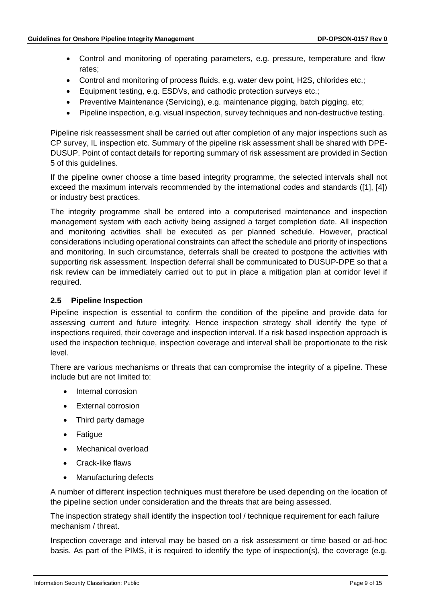- Control and monitoring of operating parameters, e.g. pressure, temperature and flow rates;
- Control and monitoring of process fluids, e.g. water dew point, H2S, chlorides etc.;
- Equipment testing, e.g. ESDVs, and cathodic protection surveys etc.;
- Preventive Maintenance (Servicing), e.g. maintenance pigging, batch pigging, etc;
- Pipeline inspection, e.g. visual inspection, survey techniques and non-destructive testing.

Pipeline risk reassessment shall be carried out after completion of any major inspections such as CP survey, IL inspection etc. Summary of the pipeline risk assessment shall be shared with DPE-DUSUP. Point of contact details for reporting summary of risk assessment are provided in Section 5 of this guidelines.

If the pipeline owner choose a time based integrity programme, the selected intervals shall not exceed the maximum intervals recommended by the international codes and standards ([1], [4]) or industry best practices.

The integrity programme shall be entered into a computerised maintenance and inspection management system with each activity being assigned a target completion date. All inspection and monitoring activities shall be executed as per planned schedule. However, practical considerations including operational constraints can affect the schedule and priority of inspections and monitoring. In such circumstance, deferrals shall be created to postpone the activities with supporting risk assessment. Inspection deferral shall be communicated to DUSUP-DPE so that a risk review can be immediately carried out to put in place a mitigation plan at corridor level if required.

#### <span id="page-8-0"></span>**2.5 Pipeline Inspection**

Pipeline inspection is essential to confirm the condition of the pipeline and provide data for assessing current and future integrity. Hence inspection strategy shall identify the type of inspections required, their coverage and inspection interval. If a risk based inspection approach is used the inspection technique, inspection coverage and interval shall be proportionate to the risk level.

There are various mechanisms or threats that can compromise the integrity of a pipeline. These include but are not limited to:

- Internal corrosion
- External corrosion
- Third party damage
- Fatigue
- Mechanical overload
- Crack-like flaws
- Manufacturing defects

A number of different inspection techniques must therefore be used depending on the location of the pipeline section under consideration and the threats that are being assessed.

The inspection strategy shall identify the inspection tool / technique requirement for each failure mechanism / threat.

Inspection coverage and interval may be based on a risk assessment or time based or ad-hoc basis. As part of the PIMS, it is required to identify the type of inspection(s), the coverage (e.g.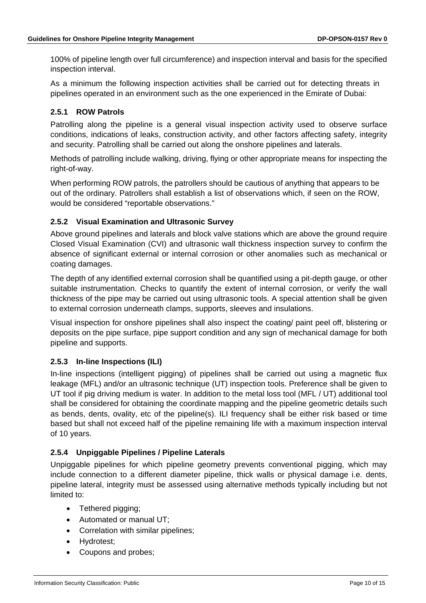100% of pipeline length over full circumference) and inspection interval and basis for the specified inspection interval.

As a minimum the following inspection activities shall be carried out for detecting threats in pipelines operated in an environment such as the one experienced in the Emirate of Dubai:

## **2.5.1 ROW Patrols**

Patrolling along the pipeline is a general visual inspection activity used to observe surface conditions, indications of leaks, construction activity, and other factors affecting safety, integrity and security. Patrolling shall be carried out along the onshore pipelines and laterals.

Methods of patrolling include walking, driving, flying or other appropriate means for inspecting the right-of-way.

When performing ROW patrols, the patrollers should be cautious of anything that appears to be out of the ordinary. Patrollers shall establish a list of observations which, if seen on the ROW, would be considered "reportable observations."

# **2.5.2 Visual Examination and Ultrasonic Survey**

Above ground pipelines and laterals and block valve stations which are above the ground require Closed Visual Examination (CVI) and ultrasonic wall thickness inspection survey to confirm the absence of significant external or internal corrosion or other anomalies such as mechanical or coating damages.

The depth of any identified external corrosion shall be quantified using a pit-depth gauge, or other suitable instrumentation. Checks to quantify the extent of internal corrosion, or verify the wall thickness of the pipe may be carried out using ultrasonic tools. A special attention shall be given to external corrosion underneath clamps, supports, sleeves and insulations.

Visual inspection for onshore pipelines shall also inspect the coating/ paint peel off, blistering or deposits on the pipe surface, pipe support condition and any sign of mechanical damage for both pipeline and supports.

## **2.5.3 In-line Inspections (ILI)**

In-line inspections (intelligent pigging) of pipelines shall be carried out using a magnetic flux leakage (MFL) and/or an ultrasonic technique (UT) inspection tools. Preference shall be given to UT tool if pig driving medium is water. In addition to the metal loss tool (MFL / UT) additional tool shall be considered for obtaining the coordinate mapping and the pipeline geometric details such as bends, dents, ovality, etc of the pipeline(s). ILI frequency shall be either risk based or time based but shall not exceed half of the pipeline remaining life with a maximum inspection interval of 10 years.

## **2.5.4 Unpiggable Pipelines / Pipeline Laterals**

Unpiggable pipelines for which pipeline geometry prevents conventional pigging, which may include connection to a different diameter pipeline, thick walls or physical damage i.e. dents, pipeline lateral, integrity must be assessed using alternative methods typically including but not limited to:

- Tethered pigging;
- Automated or manual UT;
- Correlation with similar pipelines;
- Hydrotest;
- Coupons and probes;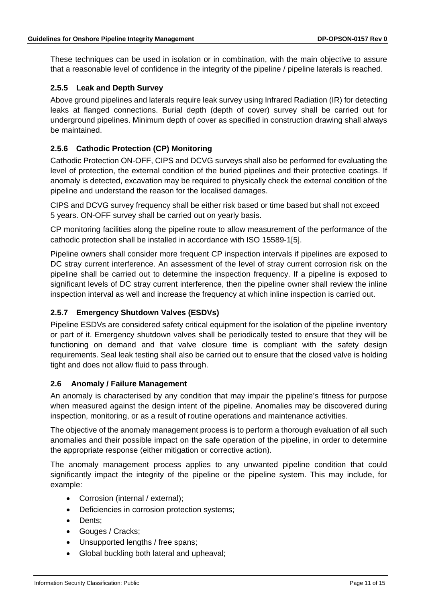These techniques can be used in isolation or in combination, with the main objective to assure that a reasonable level of confidence in the integrity of the pipeline / pipeline laterals is reached.

## **2.5.5 Leak and Depth Survey**

Above ground pipelines and laterals require leak survey using Infrared Radiation (IR) for detecting leaks at flanged connections. Burial depth (depth of cover) survey shall be carried out for underground pipelines. Minimum depth of cover as specified in construction drawing shall always be maintained.

## **2.5.6 Cathodic Protection (CP) Monitoring**

Cathodic Protection ON-OFF, CIPS and DCVG surveys shall also be performed for evaluating the level of protection, the external condition of the buried pipelines and their protective coatings. If anomaly is detected, excavation may be required to physically check the external condition of the pipeline and understand the reason for the localised damages.

CIPS and DCVG survey frequency shall be either risk based or time based but shall not exceed 5 years. ON-OFF survey shall be carried out on yearly basis.

CP monitoring facilities along the pipeline route to allow measurement of the performance of the cathodic protection shall be installed in accordance with ISO 15589-1[5].

Pipeline owners shall consider more frequent CP inspection intervals if pipelines are exposed to DC stray current interference. An assessment of the level of stray current corrosion risk on the pipeline shall be carried out to determine the inspection frequency. If a pipeline is exposed to significant levels of DC stray current interference, then the pipeline owner shall review the inline inspection interval as well and increase the frequency at which inline inspection is carried out.

#### **2.5.7 Emergency Shutdown Valves (ESDVs)**

Pipeline ESDVs are considered safety critical equipment for the isolation of the pipeline inventory or part of it. Emergency shutdown valves shall be periodically tested to ensure that they will be functioning on demand and that valve closure time is compliant with the safety design requirements. Seal leak testing shall also be carried out to ensure that the closed valve is holding tight and does not allow fluid to pass through.

#### <span id="page-10-0"></span>**2.6 Anomaly / Failure Management**

An anomaly is characterised by any condition that may impair the pipeline's fitness for purpose when measured against the design intent of the pipeline. Anomalies may be discovered during inspection, monitoring, or as a result of routine operations and maintenance activities.

The objective of the anomaly management process is to perform a thorough evaluation of all such anomalies and their possible impact on the safe operation of the pipeline, in order to determine the appropriate response (either mitigation or corrective action).

The anomaly management process applies to any unwanted pipeline condition that could significantly impact the integrity of the pipeline or the pipeline system. This may include, for example:

- Corrosion (internal / external);
- Deficiencies in corrosion protection systems;
- Dents;
- Gouges / Cracks;
- Unsupported lengths / free spans;
- Global buckling both lateral and upheaval;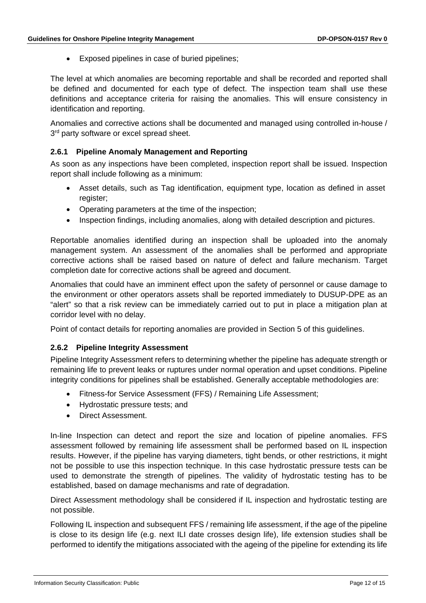• Exposed pipelines in case of buried pipelines;

The level at which anomalies are becoming reportable and shall be recorded and reported shall be defined and documented for each type of defect. The inspection team shall use these definitions and acceptance criteria for raising the anomalies. This will ensure consistency in identification and reporting.

Anomalies and corrective actions shall be documented and managed using controlled in-house / 3<sup>rd</sup> party software or excel spread sheet.

#### **2.6.1 Pipeline Anomaly Management and Reporting**

As soon as any inspections have been completed, inspection report shall be issued. Inspection report shall include following as a minimum:

- Asset details, such as Tag identification, equipment type, location as defined in asset register:
- Operating parameters at the time of the inspection;
- Inspection findings, including anomalies, along with detailed description and pictures.

Reportable anomalies identified during an inspection shall be uploaded into the anomaly management system. An assessment of the anomalies shall be performed and appropriate corrective actions shall be raised based on nature of defect and failure mechanism. Target completion date for corrective actions shall be agreed and document.

Anomalies that could have an imminent effect upon the safety of personnel or cause damage to the environment or other operators assets shall be reported immediately to DUSUP-DPE as an "alert" so that a risk review can be immediately carried out to put in place a mitigation plan at corridor level with no delay.

Point of contact details for reporting anomalies are provided in Section 5 of this guidelines.

#### **2.6.2 Pipeline Integrity Assessment**

Pipeline Integrity Assessment refers to determining whether the pipeline has adequate strength or remaining life to prevent leaks or ruptures under normal operation and upset conditions. Pipeline integrity conditions for pipelines shall be established. Generally acceptable methodologies are:

- Fitness-for Service Assessment (FFS) / Remaining Life Assessment;
- Hydrostatic pressure tests; and
- Direct Assessment.

In-line Inspection can detect and report the size and location of pipeline anomalies. FFS assessment followed by remaining life assessment shall be performed based on IL inspection results. However, if the pipeline has varying diameters, tight bends, or other restrictions, it might not be possible to use this inspection technique. In this case hydrostatic pressure tests can be used to demonstrate the strength of pipelines. The validity of hydrostatic testing has to be established, based on damage mechanisms and rate of degradation.

Direct Assessment methodology shall be considered if IL inspection and hydrostatic testing are not possible.

Following IL inspection and subsequent FFS / remaining life assessment, if the age of the pipeline is close to its design life (e.g. next ILI date crosses design life), life extension studies shall be performed to identify the mitigations associated with the ageing of the pipeline for extending its life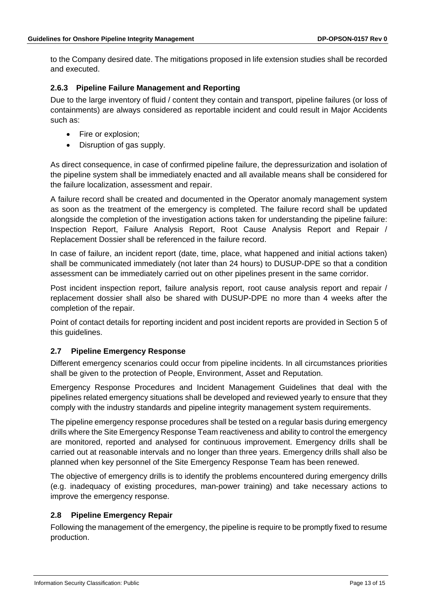to the Company desired date. The mitigations proposed in life extension studies shall be recorded and executed.

## **2.6.3 Pipeline Failure Management and Reporting**

Due to the large inventory of fluid / content they contain and transport, pipeline failures (or loss of containments) are always considered as reportable incident and could result in Major Accidents such as:

- Fire or explosion;
- Disruption of gas supply.

As direct consequence, in case of confirmed pipeline failure, the depressurization and isolation of the pipeline system shall be immediately enacted and all available means shall be considered for the failure localization, assessment and repair.

A failure record shall be created and documented in the Operator anomaly management system as soon as the treatment of the emergency is completed. The failure record shall be updated alongside the completion of the investigation actions taken for understanding the pipeline failure: Inspection Report, Failure Analysis Report, Root Cause Analysis Report and Repair / Replacement Dossier shall be referenced in the failure record.

In case of failure, an incident report (date, time, place, what happened and initial actions taken) shall be communicated immediately (not later than 24 hours) to DUSUP-DPE so that a condition assessment can be immediately carried out on other pipelines present in the same corridor.

Post incident inspection report, failure analysis report, root cause analysis report and repair / replacement dossier shall also be shared with DUSUP-DPE no more than 4 weeks after the completion of the repair.

Point of contact details for reporting incident and post incident reports are provided in Section 5 of this guidelines.

## <span id="page-12-0"></span>**2.7 Pipeline Emergency Response**

Different emergency scenarios could occur from pipeline incidents. In all circumstances priorities shall be given to the protection of People, Environment, Asset and Reputation.

Emergency Response Procedures and Incident Management Guidelines that deal with the pipelines related emergency situations shall be developed and reviewed yearly to ensure that they comply with the industry standards and pipeline integrity management system requirements.

The pipeline emergency response procedures shall be tested on a regular basis during emergency drills where the Site Emergency Response Team reactiveness and ability to control the emergency are monitored, reported and analysed for continuous improvement. Emergency drills shall be carried out at reasonable intervals and no longer than three years. Emergency drills shall also be planned when key personnel of the Site Emergency Response Team has been renewed.

The objective of emergency drills is to identify the problems encountered during emergency drills (e.g. inadequacy of existing procedures, man-power training) and take necessary actions to improve the emergency response.

#### <span id="page-12-1"></span>**2.8 Pipeline Emergency Repair**

Following the management of the emergency, the pipeline is require to be promptly fixed to resume production.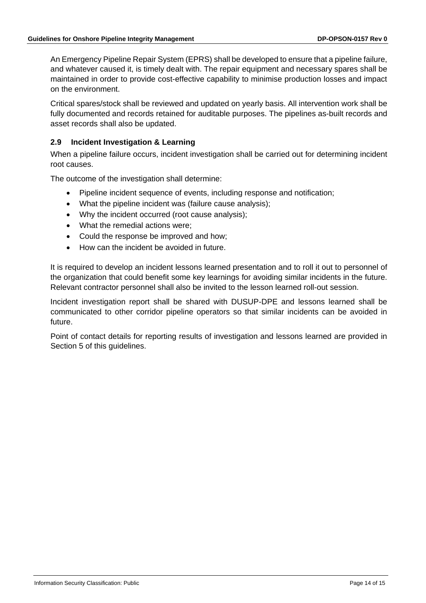An Emergency Pipeline Repair System (EPRS) shall be developed to ensure that a pipeline failure, and whatever caused it, is timely dealt with. The repair equipment and necessary spares shall be maintained in order to provide cost-effective capability to minimise production losses and impact on the environment.

Critical spares/stock shall be reviewed and updated on yearly basis. All intervention work shall be fully documented and records retained for auditable purposes. The pipelines as-built records and asset records shall also be updated.

#### <span id="page-13-0"></span>**2.9 Incident Investigation & Learning**

When a pipeline failure occurs, incident investigation shall be carried out for determining incident root causes.

The outcome of the investigation shall determine:

- Pipeline incident sequence of events, including response and notification;
- What the pipeline incident was (failure cause analysis);
- Why the incident occurred (root cause analysis);
- What the remedial actions were;
- Could the response be improved and how;
- How can the incident be avoided in future.

It is required to develop an incident lessons learned presentation and to roll it out to personnel of the organization that could benefit some key learnings for avoiding similar incidents in the future. Relevant contractor personnel shall also be invited to the lesson learned roll-out session.

Incident investigation report shall be shared with DUSUP-DPE and lessons learned shall be communicated to other corridor pipeline operators so that similar incidents can be avoided in future.

Point of contact details for reporting results of investigation and lessons learned are provided in Section 5 of this guidelines.